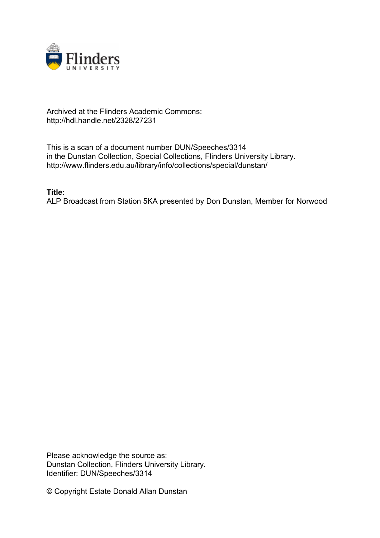

## Archived at the Flinders Academic Commons: http://hdl.handle.net/2328/27231

This is a scan of a document number DUN/Speeches/3314 in the Dunstan Collection, Special Collections, Flinders University Library. http://www.flinders.edu.au/library/info/collections/special/dunstan/

**Title:**

ALP Broadcast from Station 5KA presented by Don Dunstan, Member for Norwood

Please acknowledge the source as: Dunstan Collection, Flinders University Library. Identifier: DUN/Speeches/3314

© Copyright Estate Donald Allan Dunstan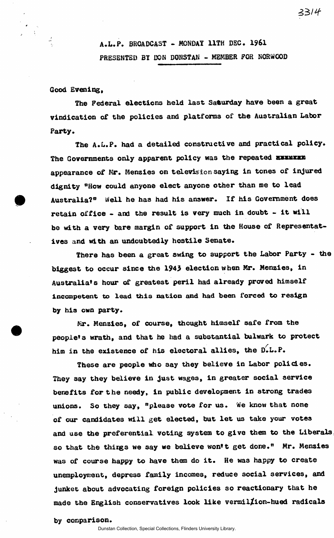## **Good Evening,**

**The Federal elections held last Saturday have been a great vindication of the policies and platforms of the Australian Labor Party.** 

**The A.L.P. had a detailed constructive and practical policy.**  The Governments only apparent policy was the repeated **EXXMEX appearance of Mr. Menzies on televis ion saying in tones of injured dignity "How could anyone elect anyone other than me to lead Australia?<sup>0</sup> Well he has had his answer. If his Government does retain office - and the result is very much in doubt - it will be with a very bare margin of support in the House of Representatives and with an undoubtedly hostile Senate.** 

**There has been a great swing to support the Labor Party - the biggest to occur since the 1943 election when Mr. Menzies, in Australia's hour of greatest peril had already proved himself incompetent to lead this nation and had been forced to resign by his own party.** 

**Mr. Menzies, of course, thought himself safe from the people's wrath, and that he had a substantial bulwark to protect**  *f*  **him in the existence of his electoral allies, the D.L.P.** 

**These are people who say they believe in Labor policies. They say they believe in just wages, in greater social service benefits for the needy, in public development in strong trades unions. So they say, "please vote for us. We know that none of our candidates will get elected, but let us take your votes and use the preferential voting system to give them to the Liberals so that the thirgs we say we believe won't get done." Mr. Menzies was of course happy to have them do it. He was happy to create unemployment, depress family incomes, reduce social services, and junket about advocating foreign policies so reactionary that he made the English conservatives look like vermil/ion-hued radicals** 

**by comparison.**